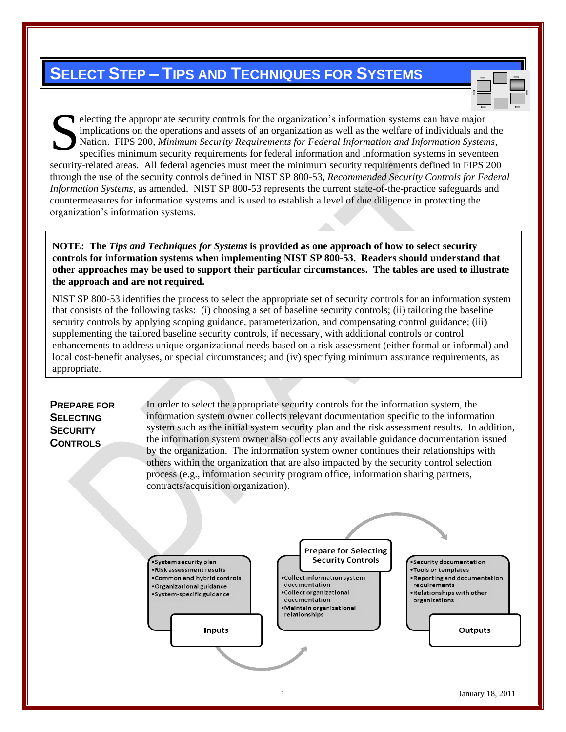# **SELECT STEP – TIPS AND TECHNIQUES FOR SYSTEMS**

electing the appropriate security controls for the organization's information systems can have major implications on the operations and assets of an organization as well as the welfare of individuals and the Nation. FIPS 200, *Minimum Security Requirements for Federal Information and Information Systems*, specifies minimum security requirements for federal information and information systems in seventeen security-related areas. All federal agencies must meet the minimum security requirements defined in FIPS 200 through the use of the security controls defined in NIST SP 800-53, *Recommended Security Controls for Federal Information Systems*, as amended. NIST SP 800-53 represents the current state-of-the-practice safeguards and countermeasures for information systems and is used to establish a level of due diligence in protecting the organization's information systems. S

**NOTE: The** *Tips and Techniques for Systems* **is provided as one approach of how to select security controls for information systems when implementing NIST SP 800-53. Readers should understand that other approaches may be used to support their particular circumstances. The tables are used to illustrate the approach and are not required.**

NIST SP 800-53 identifies the process to select the appropriate set of security controls for an information system that consists of the following tasks: (i) choosing a set of baseline security controls; (ii) tailoring the baseline security controls by applying scoping guidance, parameterization, and compensating control guidance; (iii) supplementing the tailored baseline security controls, if necessary, with additional controls or control enhancements to address unique organizational needs based on a risk assessment (either formal or informal) and local cost-benefit analyses, or special circumstances; and (iv) specifying minimum assurance requirements, as appropriate.

# **PREPARE FOR SELECTING SECURITY CONTROLS**

In order to select the appropriate security controls for the information system, the information system owner collects relevant documentation specific to the information system such as the initial system security plan and the risk assessment results. In addition, the information system owner also collects any available guidance documentation issued by the organization. The information system owner continues their relationships with others within the organization that are also impacted by the security control selection process (e.g., information security program office, information sharing partners, contracts/acquisition organization).

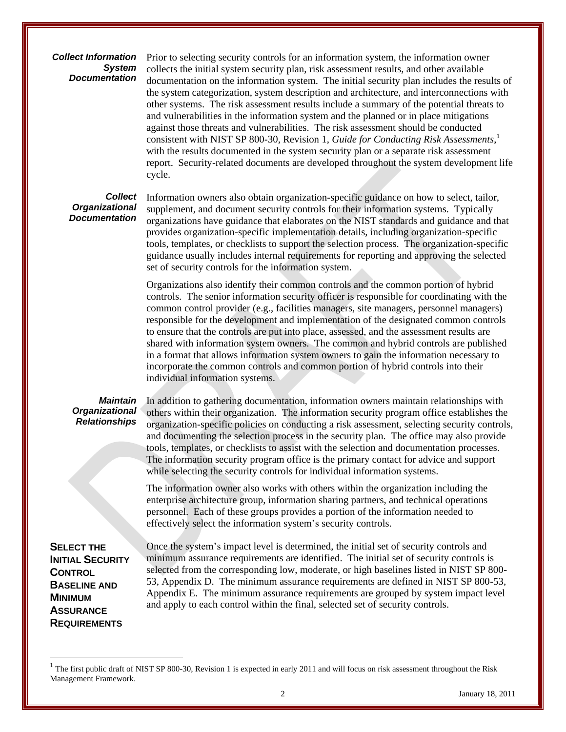# *Collect Information System Documentation*

Prior to selecting security controls for an information system, the information owner collects the initial system security plan, risk assessment results, and other available documentation on the information system. The initial security plan includes the results of the system categorization, system description and architecture, and interconnections with other systems. The risk assessment results include a summary of the potential threats to and vulnerabilities in the information system and the planned or in place mitigations against those threats and vulnerabilities. The risk assessment should be conducted consistent with NIST SP 800-30, Revision 1, *Guide for Conducting Risk Assessments*, 1 with the results documented in the system security plan or a separate risk assessment report. Security-related documents are developed throughout the system development life cycle.

#### *Collect Organizational Documentation*

Information owners also obtain organization-specific guidance on how to select, tailor, supplement, and document security controls for their information systems. Typically organizations have guidance that elaborates on the NIST standards and guidance and that provides organization-specific implementation details, including organization-specific tools, templates, or checklists to support the selection process. The organization-specific guidance usually includes internal requirements for reporting and approving the selected set of security controls for the information system.

Organizations also identify their common controls and the common portion of hybrid controls. The senior information security officer is responsible for coordinating with the common control provider (e.g., facilities managers, site managers, personnel managers) responsible for the development and implementation of the designated common controls to ensure that the controls are put into place, assessed, and the assessment results are shared with information system owners. The common and hybrid controls are published in a format that allows information system owners to gain the information necessary to incorporate the common controls and common portion of hybrid controls into their individual information systems.

# *Maintain Organizational Relationships*

In addition to gathering documentation, information owners maintain relationships with others within their organization. The information security program office establishes the organization-specific policies on conducting a risk assessment, selecting security controls, and documenting the selection process in the security plan. The office may also provide tools, templates, or checklists to assist with the selection and documentation processes. The information security program office is the primary contact for advice and support while selecting the security controls for individual information systems.

The information owner also works with others within the organization including the enterprise architecture group, information sharing partners, and technical operations personnel. Each of these groups provides a portion of the information needed to effectively select the information system's security controls.

**SELECT THE INITIAL SECURITY CONTROL BASELINE AND MINIMUM ASSURANCE REQUIREMENTS**

 $\overline{a}$ 

Once the system's impact level is determined, the initial set of security controls and minimum assurance requirements are identified. The initial set of security controls is selected from the corresponding low, moderate, or high baselines listed in NIST SP 800- 53, Appendix D. The minimum assurance requirements are defined in NIST SP 800-53, Appendix E. The minimum assurance requirements are grouped by system impact level and apply to each control within the final, selected set of security controls.

<sup>1</sup> The first public draft of NIST SP 800-30, Revision 1 is expected in early 2011 and will focus on risk assessment throughout the Risk Management Framework.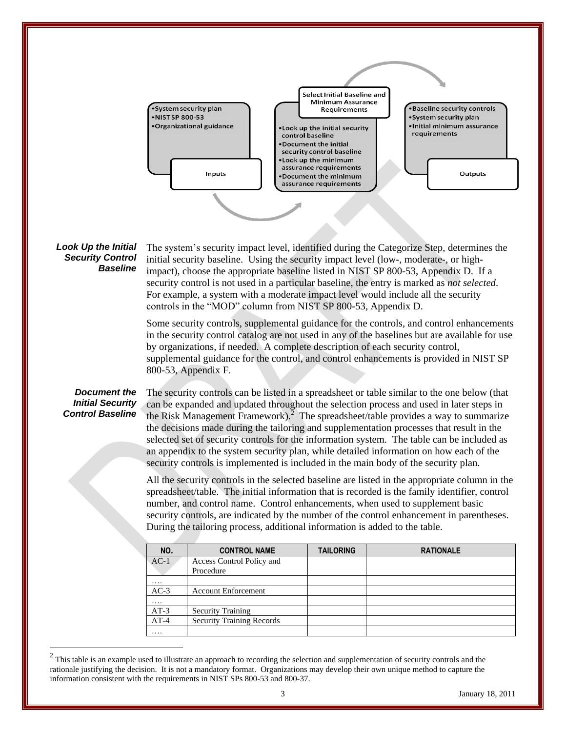

#### *Look Up the Initial Security Control Baseline*

The system's security impact level, identified during the Categorize Step, determines the initial security baseline. Using the security impact level (low-, moderate-, or highimpact), choose the appropriate baseline listed in NIST SP 800-53, Appendix D. If a security control is not used in a particular baseline, the entry is marked as *not selected*. For example, a system with a moderate impact level would include all the security controls in the "MOD" column from NIST SP 800-53, Appendix D.

Some security controls, supplemental guidance for the controls, and control enhancements in the security control catalog are not used in any of the baselines but are available for use by organizations, if needed. A complete description of each security control, supplemental guidance for the control, and control enhancements is provided in NIST SP 800-53, Appendix F.

#### *Document the Initial Security Control Baseline*

 $\overline{a}$ 

The security controls can be listed in a spreadsheet or table similar to the one below (that can be expanded and updated throughout the selection process and used in later steps in the Risk Management Framework).<sup>2</sup> The spreadsheet/table provides a way to summarize the decisions made during the tailoring and supplementation processes that result in the selected set of security controls for the information system. The table can be included as an appendix to the system security plan, while detailed information on how each of the security controls is implemented is included in the main body of the security plan.

All the security controls in the selected baseline are listed in the appropriate column in the spreadsheet/table. The initial information that is recorded is the family identifier, control number, and control name. Control enhancements, when used to supplement basic security controls, are indicated by the number of the control enhancement in parentheses. During the tailoring process, additional information is added to the table.

| NO.    | <b>CONTROL NAME</b>              | <b>TAILORING</b> | <b>RATIONALE</b> |
|--------|----------------------------------|------------------|------------------|
| $AC-1$ | Access Control Policy and        |                  |                  |
|        | Procedure                        |                  |                  |
| .      |                                  |                  |                  |
| $AC-3$ | <b>Account Enforcement</b>       |                  |                  |
| .      |                                  |                  |                  |
| $AT-3$ | <b>Security Training</b>         |                  |                  |
| $AT-4$ | <b>Security Training Records</b> |                  |                  |
| .      |                                  |                  |                  |

 $2<sup>2</sup>$  This table is an example used to illustrate an approach to recording the selection and supplementation of security controls and the rationale justifying the decision. It is not a mandatory format. Organizations may develop their own unique method to capture the information consistent with the requirements in NIST SPs 800-53 and 800-37.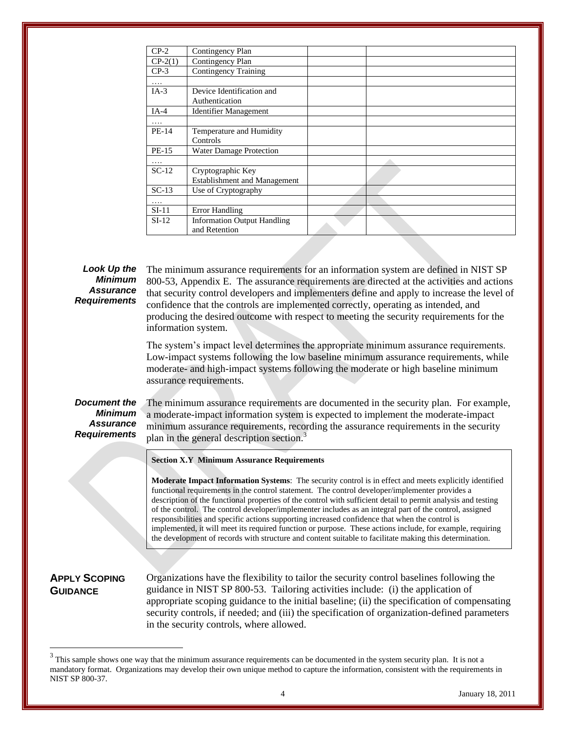| $CP-2$    | Contingency Plan                                    |  |
|-----------|-----------------------------------------------------|--|
| $CP-2(1)$ | Contingency Plan                                    |  |
| $CP-3$    | <b>Contingency Training</b>                         |  |
| .         |                                                     |  |
| $IA-3$    | Device Identification and<br>Authentication         |  |
| $IA-4$    | <b>Identifier Management</b>                        |  |
| .         |                                                     |  |
| PE-14     | Temperature and Humidity                            |  |
|           | Controls                                            |  |
| PE-15     | Water Damage Protection                             |  |
| .         |                                                     |  |
| $SC-12$   | Cryptographic Key                                   |  |
|           | <b>Establishment and Management</b>                 |  |
| $SC-13$   | Use of Cryptography                                 |  |
| .         |                                                     |  |
| $SI-11$   | Error Handling                                      |  |
| $SI-12$   | <b>Information Output Handling</b><br>and Retention |  |

*Minimum Assurance Requirements*

**Look Up the** The minimum assurance requirements for an information system are defined in NIST SP 800-53, Appendix E. The assurance requirements are directed at the activities and actions that security control developers and implementers define and apply to increase the level of confidence that the controls are implemented correctly, operating as intended, and producing the desired outcome with respect to meeting the security requirements for the information system.

> The system's impact level determines the appropriate minimum assurance requirements. Low-impact systems following the low baseline minimum assurance requirements, while moderate- and high-impact systems following the moderate or high baseline minimum assurance requirements.

# *Document the Minimum Assurance Requirements*

The minimum assurance requirements are documented in the security plan. For example, a moderate-impact information system is expected to implement the moderate-impact minimum assurance requirements, recording the assurance requirements in the security plan in the general description section.<sup>3</sup>

**Section X.Y Minimum Assurance Requirements**

**Moderate Impact Information Systems**: The security control is in effect and meets explicitly identified functional requirements in the control statement. The control developer/implementer provides a description of the functional properties of the control with sufficient detail to permit analysis and testing of the control. The control developer/implementer includes as an integral part of the control, assigned responsibilities and specific actions supporting increased confidence that when the control is implemented, it will meet its required function or purpose. These actions include, for example, requiring the development of records with structure and content suitable to facilitate making this determination.

# **APPLY SCOPING GUIDANCE**

 $\overline{a}$ 

Organizations have the flexibility to tailor the security control baselines following the guidance in NIST SP 800-53. Tailoring activities include: (i) the application of appropriate scoping guidance to the initial baseline; (ii) the specification of compensating security controls, if needed; and (iii) the specification of organization-defined parameters in the security controls, where allowed.

 $3$  This sample shows one way that the minimum assurance requirements can be documented in the system security plan. It is not a mandatory format. Organizations may develop their own unique method to capture the information, consistent with the requirements in NIST SP 800-37.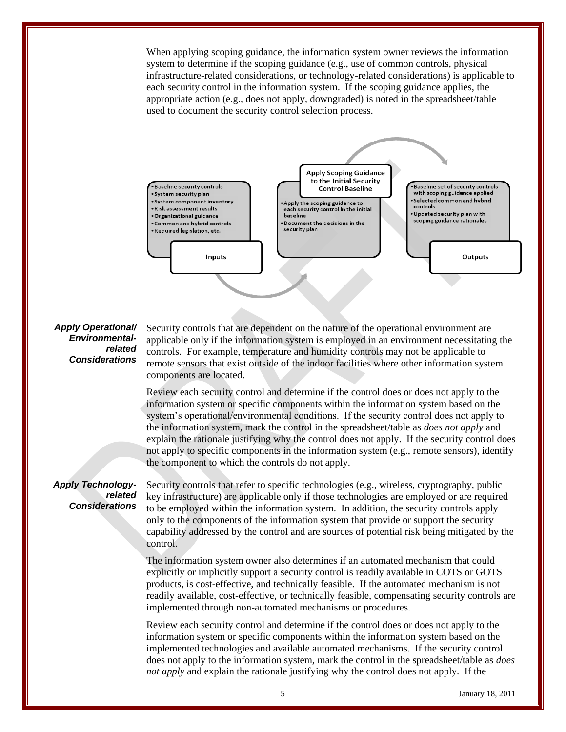When applying scoping guidance, the information system owner reviews the information system to determine if the scoping guidance (e.g., use of common controls, physical infrastructure-related considerations, or technology-related considerations) is applicable to each security control in the information system. If the scoping guidance applies, the appropriate action (e.g., does not apply, downgraded) is noted in the spreadsheet/table used to document the security control selection process.



# *Apply Operational/ Environmentalrelated Considerations*

Security controls that are dependent on the nature of the operational environment are applicable only if the information system is employed in an environment necessitating the controls. For example, temperature and humidity controls may not be applicable to remote sensors that exist outside of the indoor facilities where other information system components are located.

Review each security control and determine if the control does or does not apply to the information system or specific components within the information system based on the system's operational/environmental conditions. If the security control does not apply to the information system, mark the control in the spreadsheet/table as *does not apply* and explain the rationale justifying why the control does not apply. If the security control does not apply to specific components in the information system (e.g., remote sensors), identify the component to which the controls do not apply.

# *Apply Technologyrelated Considerations*

Security controls that refer to specific technologies (e.g., wireless, cryptography, public key infrastructure) are applicable only if those technologies are employed or are required to be employed within the information system. In addition, the security controls apply only to the components of the information system that provide or support the security capability addressed by the control and are sources of potential risk being mitigated by the control.

The information system owner also determines if an automated mechanism that could explicitly or implicitly support a security control is readily available in COTS or GOTS products, is cost-effective, and technically feasible. If the automated mechanism is not readily available, cost-effective, or technically feasible, compensating security controls are implemented through non-automated mechanisms or procedures.

Review each security control and determine if the control does or does not apply to the information system or specific components within the information system based on the implemented technologies and available automated mechanisms. If the security control does not apply to the information system, mark the control in the spreadsheet/table as *does not apply* and explain the rationale justifying why the control does not apply. If the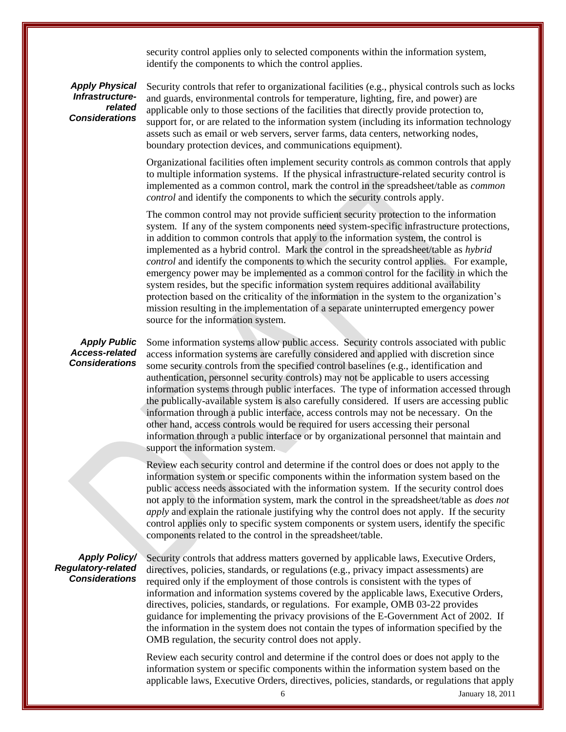security control applies only to selected components within the information system, identify the components to which the control applies.

*Apply Physical Infrastructurerelated Considerations* 

Security controls that refer to organizational facilities (e.g., physical controls such as locks and guards, environmental controls for temperature, lighting, fire, and power) are applicable only to those sections of the facilities that directly provide protection to, support for, or are related to the information system (including its information technology assets such as email or web servers, server farms, data centers, networking nodes, boundary protection devices, and communications equipment).

Organizational facilities often implement security controls as common controls that apply to multiple information systems. If the physical infrastructure-related security control is implemented as a common control, mark the control in the spreadsheet/table as *common control* and identify the components to which the security controls apply.

The common control may not provide sufficient security protection to the information system. If any of the system components need system-specific infrastructure protections, in addition to common controls that apply to the information system, the control is implemented as a hybrid control. Mark the control in the spreadsheet/table as *hybrid control* and identify the components to which the security control applies. For example, emergency power may be implemented as a common control for the facility in which the system resides, but the specific information system requires additional availability protection based on the criticality of the information in the system to the organization's mission resulting in the implementation of a separate uninterrupted emergency power source for the information system.

# *Apply Public Access-related Considerations*

Some information systems allow public access. Security controls associated with public access information systems are carefully considered and applied with discretion since some security controls from the specified control baselines (e.g., identification and authentication, personnel security controls) may not be applicable to users accessing information systems through public interfaces. The type of information accessed through the publically-available system is also carefully considered. If users are accessing public information through a public interface, access controls may not be necessary. On the other hand, access controls would be required for users accessing their personal information through a public interface or by organizational personnel that maintain and support the information system.

Review each security control and determine if the control does or does not apply to the information system or specific components within the information system based on the public access needs associated with the information system. If the security control does not apply to the information system, mark the control in the spreadsheet/table as *does not apply* and explain the rationale justifying why the control does not apply. If the security control applies only to specific system components or system users, identify the specific components related to the control in the spreadsheet/table.

# *Apply Policy/ Regulatory-related Considerations*

Security controls that address matters governed by applicable laws, Executive Orders, directives, policies, standards, or regulations (e.g., privacy impact assessments) are required only if the employment of those controls is consistent with the types of information and information systems covered by the applicable laws, Executive Orders, directives, policies, standards, or regulations. For example, OMB 03-22 provides guidance for implementing the privacy provisions of the E-Government Act of 2002. If the information in the system does not contain the types of information specified by the OMB regulation, the security control does not apply.

Review each security control and determine if the control does or does not apply to the information system or specific components within the information system based on the applicable laws, Executive Orders, directives, policies, standards, or regulations that apply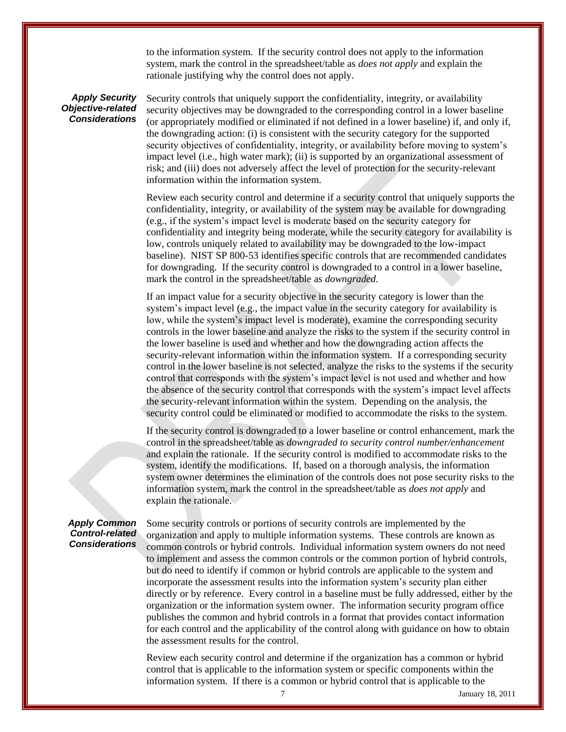to the information system. If the security control does not apply to the information system, mark the control in the spreadsheet/table as *does not apply* and explain the rationale justifying why the control does not apply.

# *Apply Security Objective-related Considerations*

Security controls that uniquely support the confidentiality, integrity, or availability security objectives may be downgraded to the corresponding control in a lower baseline (or appropriately modified or eliminated if not defined in a lower baseline) if, and only if, the downgrading action: (i) is consistent with the security category for the supported security objectives of confidentiality, integrity, or availability before moving to system's impact level (i.e., high water mark); (ii) is supported by an organizational assessment of risk; and (iii) does not adversely affect the level of protection for the security-relevant information within the information system.

Review each security control and determine if a security control that uniquely supports the confidentiality, integrity, or availability of the system may be available for downgrading (e.g., if the system's impact level is moderate based on the security category for confidentiality and integrity being moderate, while the security category for availability is low, controls uniquely related to availability may be downgraded to the low-impact baseline). NIST SP 800-53 identifies specific controls that are recommended candidates for downgrading. If the security control is downgraded to a control in a lower baseline, mark the control in the spreadsheet/table as *downgraded*.

If an impact value for a security objective in the security category is lower than the system's impact level (e.g., the impact value in the security category for availability is low, while the system's impact level is moderate), examine the corresponding security controls in the lower baseline and analyze the risks to the system if the security control in the lower baseline is used and whether and how the downgrading action affects the security-relevant information within the information system. If a corresponding security control in the lower baseline is not selected, analyze the risks to the systems if the security control that corresponds with the system's impact level is not used and whether and how the absence of the security control that corresponds with the system's impact level affects the security-relevant information within the system. Depending on the analysis, the security control could be eliminated or modified to accommodate the risks to the system.

If the security control is downgraded to a lower baseline or control enhancement, mark the control in the spreadsheet/table as *downgraded to security control number/enhancement* and explain the rationale. If the security control is modified to accommodate risks to the system, identify the modifications. If, based on a thorough analysis, the information system owner determines the elimination of the controls does not pose security risks to the information system, mark the control in the spreadsheet/table as *does not apply* and explain the rationale.

# *Apply Common Control-related Considerations*

Some security controls or portions of security controls are implemented by the organization and apply to multiple information systems. These controls are known as common controls or hybrid controls. Individual information system owners do not need to implement and assess the common controls or the common portion of hybrid controls, but do need to identify if common or hybrid controls are applicable to the system and incorporate the assessment results into the information system's security plan either directly or by reference. Every control in a baseline must be fully addressed, either by the organization or the information system owner. The information security program office publishes the common and hybrid controls in a format that provides contact information for each control and the applicability of the control along with guidance on how to obtain the assessment results for the control.

Review each security control and determine if the organization has a common or hybrid control that is applicable to the information system or specific components within the information system. If there is a common or hybrid control that is applicable to the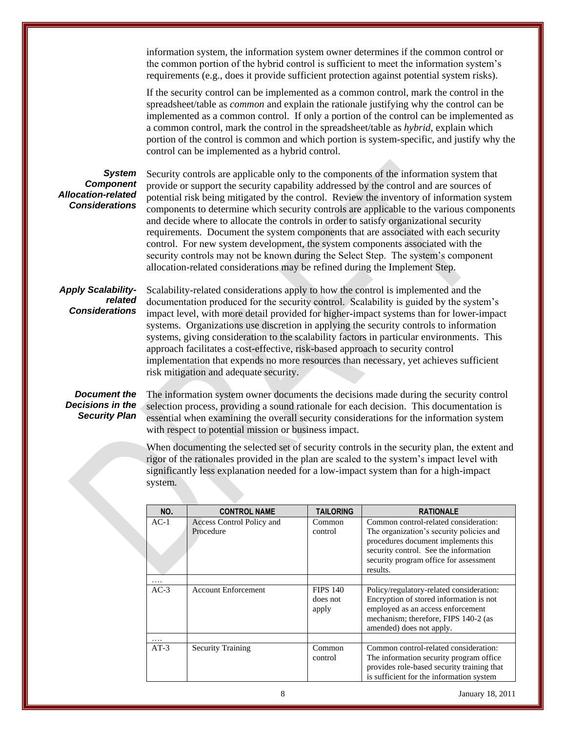information system, the information system owner determines if the common control or the common portion of the hybrid control is sufficient to meet the information system's requirements (e.g., does it provide sufficient protection against potential system risks).

If the security control can be implemented as a common control, mark the control in the spreadsheet/table as *common* and explain the rationale justifying why the control can be implemented as a common control. If only a portion of the control can be implemented as a common control, mark the control in the spreadsheet/table as *hybrid*, explain which portion of the control is common and which portion is system-specific, and justify why the control can be implemented as a hybrid control.

# *System Component Allocation-related Considerations*

Security controls are applicable only to the components of the information system that provide or support the security capability addressed by the control and are sources of potential risk being mitigated by the control. Review the inventory of information system components to determine which security controls are applicable to the various components and decide where to allocate the controls in order to satisfy organizational security requirements. Document the system components that are associated with each security control. For new system development, the system components associated with the security controls may not be known during the Select Step. The system's component allocation-related considerations may be refined during the Implement Step.

# *Apply Scalabilityrelated Considerations*

Scalability-related considerations apply to how the control is implemented and the documentation produced for the security control. Scalability is guided by the system's impact level, with more detail provided for higher-impact systems than for lower-impact systems. Organizations use discretion in applying the security controls to information systems, giving consideration to the scalability factors in particular environments. This approach facilitates a cost-effective, risk-based approach to security control implementation that expends no more resources than necessary, yet achieves sufficient risk mitigation and adequate security.

# *Document the Decisions in the Security Plan*

The information system owner documents the decisions made during the security control selection process, providing a sound rationale for each decision. This documentation is essential when examining the overall security considerations for the information system with respect to potential mission or business impact.

When documenting the selected set of security controls in the security plan, the extent and rigor of the rationales provided in the plan are scaled to the system's impact level with significantly less explanation needed for a low-impact system than for a high-impact system.

| NO.      | <b>CONTROL NAME</b>                    | <b>TAILORING</b>                     | <b>RATIONALE</b>                                                                                                                                                                                                        |
|----------|----------------------------------------|--------------------------------------|-------------------------------------------------------------------------------------------------------------------------------------------------------------------------------------------------------------------------|
| $AC-1$   | Access Control Policy and<br>Procedure | Common<br>control                    | Common control-related consideration:<br>The organization's security policies and<br>procedures document implements this<br>security control. See the information<br>security program office for assessment<br>results. |
|          |                                        |                                      |                                                                                                                                                                                                                         |
| $AC-3$   | <b>Account Enforcement</b>             | <b>FIPS 140</b><br>does not<br>apply | Policy/regulatory-related consideration:<br>Encryption of stored information is not<br>employed as an access enforcement<br>mechanism; therefore, FIPS 140-2 (as<br>amended) does not apply.                            |
| $\cdots$ |                                        |                                      |                                                                                                                                                                                                                         |
| $AT-3$   | <b>Security Training</b>               | Common<br>control                    | Common control-related consideration:<br>The information security program office.<br>provides role-based security training that<br>is sufficient for the information system                                             |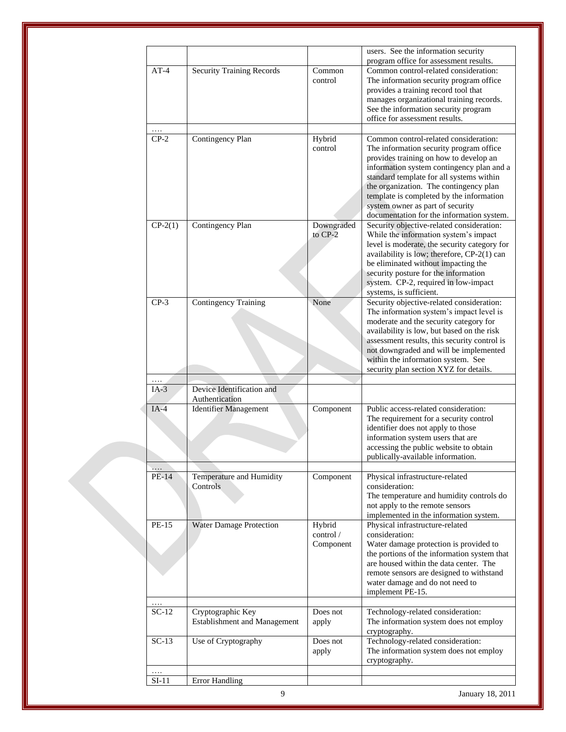|           |                                     |            | users. See the information security                                             |
|-----------|-------------------------------------|------------|---------------------------------------------------------------------------------|
| $AT-4$    | <b>Security Training Records</b>    | Common     | program office for assessment results.<br>Common control-related consideration: |
|           |                                     | control    | The information security program office                                         |
|           |                                     |            | provides a training record tool that                                            |
|           |                                     |            | manages organizational training records.                                        |
|           |                                     |            |                                                                                 |
|           |                                     |            | See the information security program                                            |
|           |                                     |            | office for assessment results.                                                  |
| $CP-2$    |                                     |            |                                                                                 |
|           | Contingency Plan                    | Hybrid     | Common control-related consideration:                                           |
|           |                                     | control    | The information security program office                                         |
|           |                                     |            | provides training on how to develop an                                          |
|           |                                     |            | information system contingency plan and a                                       |
|           |                                     |            | standard template for all systems within                                        |
|           |                                     |            | the organization. The contingency plan                                          |
|           |                                     |            | template is completed by the information                                        |
|           |                                     |            | system owner as part of security                                                |
|           |                                     |            | documentation for the information system.                                       |
| $CP-2(1)$ | Contingency Plan                    | Downgraded | Security objective-related consideration:                                       |
|           |                                     | to CP-2    | While the information system's impact                                           |
|           |                                     |            | level is moderate, the security category for                                    |
|           |                                     |            | availability is low; therefore, CP-2(1) can                                     |
|           |                                     |            | be eliminated without impacting the                                             |
|           |                                     |            | security posture for the information                                            |
|           |                                     |            | system. CP-2, required in low-impact                                            |
|           |                                     |            | systems, is sufficient.                                                         |
| $CP-3$    | <b>Contingency Training</b>         | None       | Security objective-related consideration:                                       |
|           |                                     |            | The information system's impact level is                                        |
|           |                                     |            | moderate and the security category for                                          |
|           |                                     |            | availability is low, but based on the risk                                      |
|           |                                     |            | assessment results, this security control is                                    |
|           |                                     |            | not downgraded and will be implemented                                          |
|           |                                     |            | within the information system. See                                              |
|           |                                     |            | security plan section XYZ for details.                                          |
|           | Device Identification and           |            |                                                                                 |
| $IA-3$    | Authentication                      |            |                                                                                 |
| $IA-4$    | <b>Identifier Management</b>        |            | Public access-related consideration:                                            |
|           |                                     | Component  | The requirement for a security control                                          |
|           |                                     |            | identifier does not apply to those                                              |
|           |                                     |            | information system users that are                                               |
|           |                                     |            | accessing the public website to obtain                                          |
|           |                                     |            | publically-available information.                                               |
|           |                                     |            |                                                                                 |
| PE-14     | Temperature and Humidity            | Component  | Physical infrastructure-related                                                 |
|           | Controls                            |            | consideration:                                                                  |
|           |                                     |            | The temperature and humidity controls do                                        |
|           |                                     |            | not apply to the remote sensors                                                 |
|           |                                     |            | implemented in the information system.                                          |
| PE-15     | <b>Water Damage Protection</b>      | Hybrid     | Physical infrastructure-related                                                 |
|           |                                     | control /  | consideration:                                                                  |
|           |                                     | Component  | Water damage protection is provided to                                          |
|           |                                     |            | the portions of the information system that                                     |
|           |                                     |            | are housed within the data center. The                                          |
|           |                                     |            | remote sensors are designed to withstand                                        |
|           |                                     |            | water damage and do not need to                                                 |
|           |                                     |            | implement PE-15.                                                                |
|           |                                     |            |                                                                                 |
| $SC-12$   | Cryptographic Key                   | Does not   | Technology-related consideration:                                               |
|           | <b>Establishment and Management</b> | apply      | The information system does not employ                                          |
|           |                                     |            | cryptography.                                                                   |
| $SC-13$   | Use of Cryptography                 | Does not   | Technology-related consideration:                                               |
|           |                                     | apply      | The information system does not employ                                          |
|           |                                     |            | cryptography.                                                                   |
| .         |                                     |            |                                                                                 |
| $SI-11$   | <b>Error Handling</b>               |            |                                                                                 |
|           |                                     |            |                                                                                 |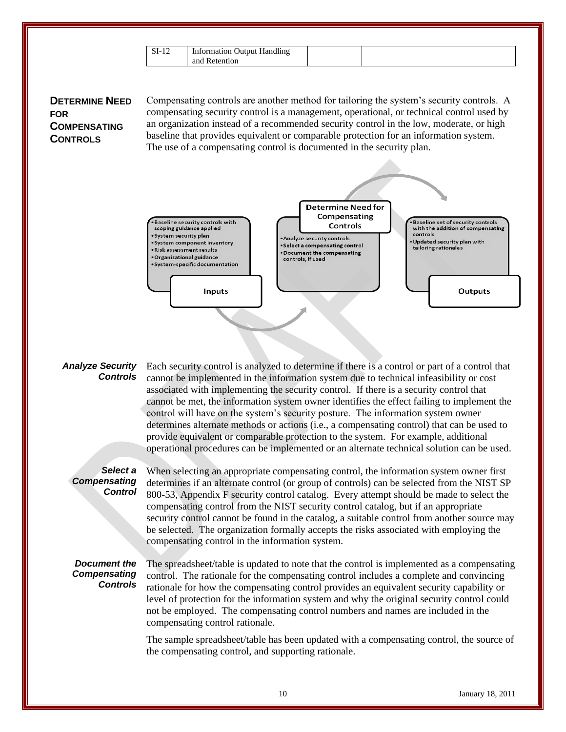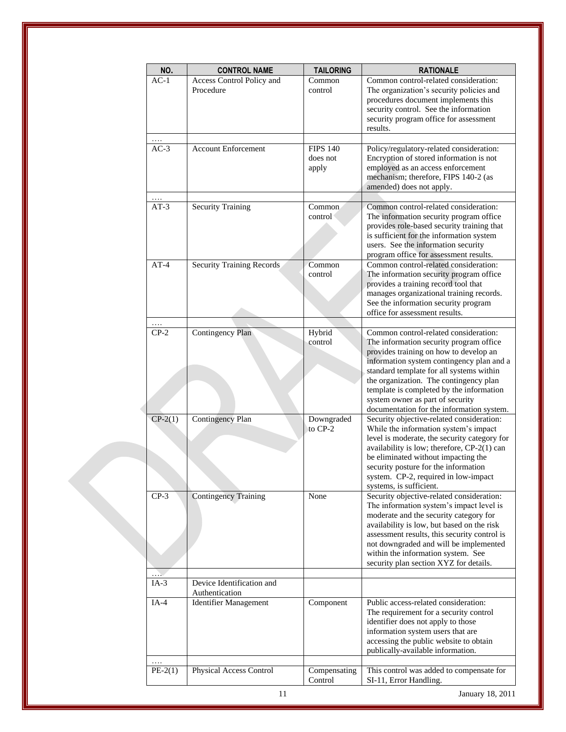| NO.       | <b>CONTROL NAME</b>          | <b>TAILORING</b>        | <b>RATIONALE</b>                                                                       |
|-----------|------------------------------|-------------------------|----------------------------------------------------------------------------------------|
| $AC-1$    | Access Control Policy and    | Common                  | Common control-related consideration:                                                  |
|           | Procedure                    | control                 | The organization's security policies and<br>procedures document implements this        |
|           |                              |                         | security control. See the information                                                  |
|           |                              |                         | security program office for assessment                                                 |
|           |                              |                         | results.                                                                               |
| $AC-3$    | <b>Account Enforcement</b>   | <b>FIPS 140</b>         | Policy/regulatory-related consideration:                                               |
|           |                              | does not                | Encryption of stored information is not                                                |
|           |                              | apply                   | employed as an access enforcement                                                      |
|           |                              |                         | mechanism; therefore, FIPS 140-2 (as<br>amended) does not apply.                       |
|           |                              |                         |                                                                                        |
| $AT-3$    | <b>Security Training</b>     | Common                  | Common control-related consideration:                                                  |
|           |                              | control                 | The information security program office                                                |
|           |                              |                         | provides role-based security training that<br>is sufficient for the information system |
|           |                              |                         | users. See the information security                                                    |
|           |                              |                         | program office for assessment results.                                                 |
| $AT-4$    | Security Training Records    | Common                  | Common control-related consideration:                                                  |
|           |                              | control                 | The information security program office<br>provides a training record tool that        |
|           |                              |                         | manages organizational training records.                                               |
|           |                              |                         | See the information security program                                                   |
|           |                              |                         | office for assessment results.                                                         |
| $CP-2$    | <b>Contingency Plan</b>      | Hybrid                  | Common control-related consideration:                                                  |
|           |                              | control                 | The information security program office                                                |
|           |                              |                         | provides training on how to develop an                                                 |
|           |                              |                         | information system contingency plan and a<br>standard template for all systems within  |
|           |                              |                         | the organization. The contingency plan                                                 |
|           |                              |                         | template is completed by the information                                               |
|           |                              |                         | system owner as part of security                                                       |
| $CP-2(1)$ | Contingency Plan             | Downgraded              | documentation for the information system.<br>Security objective-related consideration: |
|           |                              | to $CP-2$               | While the information system's impact                                                  |
|           |                              |                         | level is moderate, the security category for                                           |
|           |                              |                         | availability is low; therefore, CP-2(1) can<br>be eliminated without impacting the     |
|           |                              |                         | security posture for the information                                                   |
|           |                              |                         | system. CP-2, required in low-impact                                                   |
|           |                              |                         | systems, is sufficient.                                                                |
| $CP-3$    | <b>Contingency Training</b>  | None                    | Security objective-related consideration:<br>The information system's impact level is  |
|           |                              |                         | moderate and the security category for                                                 |
|           |                              |                         | availability is low, but based on the risk                                             |
|           |                              |                         | assessment results, this security control is<br>not downgraded and will be implemented |
|           |                              |                         | within the information system. See                                                     |
|           |                              |                         | security plan section XYZ for details.                                                 |
|           | Device Identification and    |                         |                                                                                        |
| $IA-3$    | Authentication               |                         |                                                                                        |
| $IA-4$    | <b>Identifier Management</b> | Component               | Public access-related consideration:                                                   |
|           |                              |                         | The requirement for a security control                                                 |
|           |                              |                         | identifier does not apply to those<br>information system users that are                |
|           |                              |                         | accessing the public website to obtain                                                 |
|           |                              |                         | publically-available information.                                                      |
|           |                              |                         |                                                                                        |
| $PE-2(1)$ | Physical Access Control      | Compensating<br>Control | This control was added to compensate for<br>SI-11, Error Handling.                     |
|           | 11                           |                         | January 18, 2011                                                                       |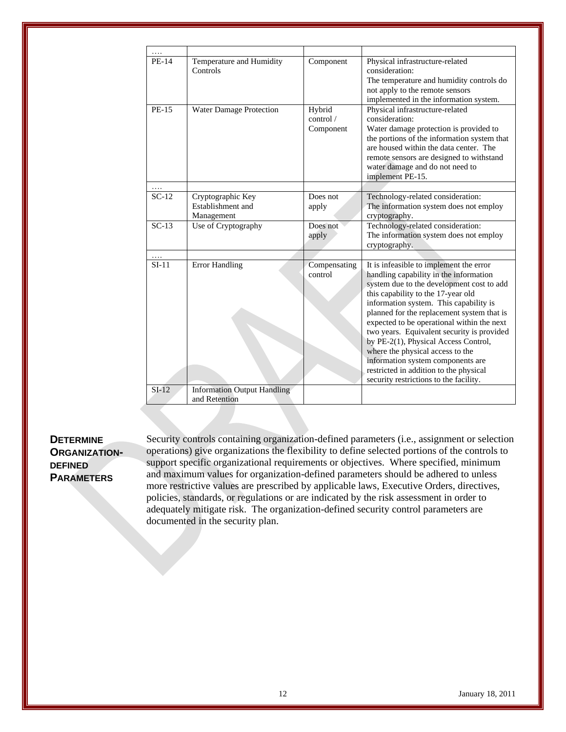| <b>PE-14</b> | Temperature and Humidity<br>Controls                 | Component                        | Physical infrastructure-related<br>consideration:<br>The temperature and humidity controls do<br>not apply to the remote sensors<br>implemented in the information system.                                                                                                                                                                                                                                                                                                                                                                                    |
|--------------|------------------------------------------------------|----------------------------------|---------------------------------------------------------------------------------------------------------------------------------------------------------------------------------------------------------------------------------------------------------------------------------------------------------------------------------------------------------------------------------------------------------------------------------------------------------------------------------------------------------------------------------------------------------------|
| PE-15        | Water Damage Protection                              | Hybrid<br>control /<br>Component | Physical infrastructure-related<br>consideration:<br>Water damage protection is provided to<br>the portions of the information system that<br>are housed within the data center. The<br>remote sensors are designed to withstand<br>water damage and do not need to<br>implement PE-15.                                                                                                                                                                                                                                                                       |
| $SC-12$      | Cryptographic Key<br>Establishment and<br>Management | Does not<br>apply                | Technology-related consideration:<br>The information system does not employ<br>cryptography.                                                                                                                                                                                                                                                                                                                                                                                                                                                                  |
| $SC-13$      | Use of Cryptography                                  | Does not<br>apply                | Technology-related consideration:<br>The information system does not employ<br>cryptography.                                                                                                                                                                                                                                                                                                                                                                                                                                                                  |
| $SI-11$      | <b>Error Handling</b>                                | Compensating<br>control          | It is infeasible to implement the error<br>handling capability in the information<br>system due to the development cost to add<br>this capability to the 17-year old<br>information system. This capability is<br>planned for the replacement system that is<br>expected to be operational within the next<br>two years. Equivalent security is provided<br>by PE-2(1), Physical Access Control,<br>where the physical access to the<br>information system components are<br>restricted in addition to the physical<br>security restrictions to the facility. |
| $SI-12$      | <b>Information Output Handling</b><br>and Retention  |                                  |                                                                                                                                                                                                                                                                                                                                                                                                                                                                                                                                                               |

# **DETERMINE ORGANIZATION-DEFINED PARAMETERS**

Security controls containing organization-defined parameters (i.e., assignment or selection operations) give organizations the flexibility to define selected portions of the controls to support specific organizational requirements or objectives. Where specified, minimum and maximum values for organization-defined parameters should be adhered to unless more restrictive values are prescribed by applicable laws, Executive Orders, directives, policies, standards, or regulations or are indicated by the risk assessment in order to adequately mitigate risk. The organization-defined security control parameters are documented in the security plan.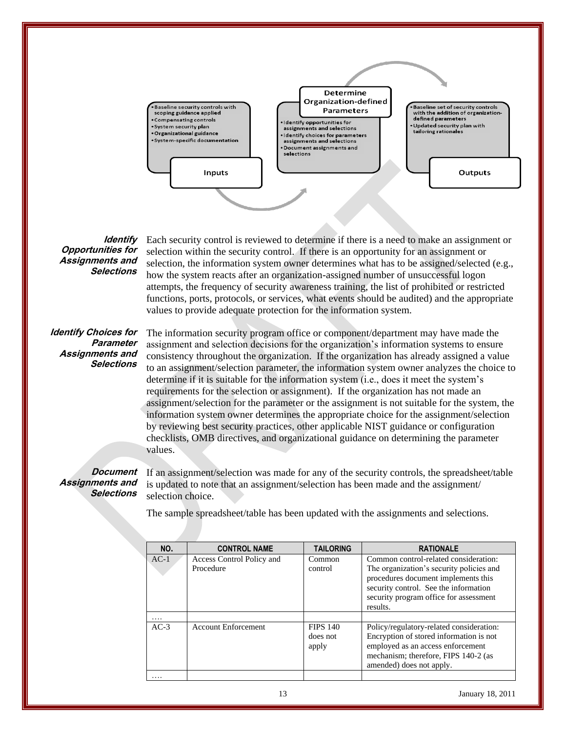

#### **Identify Opportunities for Assignments and Selections**

Each security control is reviewed to determine if there is a need to make an assignment or selection within the security control. If there is an opportunity for an assignment or selection, the information system owner determines what has to be assigned/selected (e.g., how the system reacts after an organization-assigned number of unsuccessful logon attempts, the frequency of security awareness training, the list of prohibited or restricted functions, ports, protocols, or services, what events should be audited) and the appropriate values to provide adequate protection for the information system.

# **Identify Choices for Parameter Assignments and Selections**

The information security program office or component/department may have made the assignment and selection decisions for the organization's information systems to ensure consistency throughout the organization. If the organization has already assigned a value to an assignment/selection parameter, the information system owner analyzes the choice to determine if it is suitable for the information system (i.e., does it meet the system's requirements for the selection or assignment). If the organization has not made an assignment/selection for the parameter or the assignment is not suitable for the system, the information system owner determines the appropriate choice for the assignment/selection by reviewing best security practices, other applicable NIST guidance or configuration checklists, OMB directives, and organizational guidance on determining the parameter values.

#### **Document Assignments and Selections**

If an assignment/selection was made for any of the security controls, the spreadsheet/table is updated to note that an assignment/selection has been made and the assignment/ selection choice.

The sample spreadsheet/table has been updated with the assignments and selections.

| NO.    | <b>CONTROL NAME</b>                    | <b>TAILORING</b>                     | <b>RATIONALE</b>                                                                                                                                                                                                        |
|--------|----------------------------------------|--------------------------------------|-------------------------------------------------------------------------------------------------------------------------------------------------------------------------------------------------------------------------|
| $AC-1$ | Access Control Policy and<br>Procedure | Common<br>control                    | Common control-related consideration:<br>The organization's security policies and<br>procedures document implements this<br>security control. See the information<br>security program office for assessment<br>results. |
| .      |                                        |                                      |                                                                                                                                                                                                                         |
| $AC-3$ | <b>Account Enforcement</b>             | <b>FIPS 140</b><br>does not<br>apply | Policy/regulatory-related consideration:<br>Encryption of stored information is not<br>employed as an access enforcement<br>mechanism; therefore, FIPS 140-2 (as<br>amended) does not apply.                            |
|        |                                        |                                      |                                                                                                                                                                                                                         |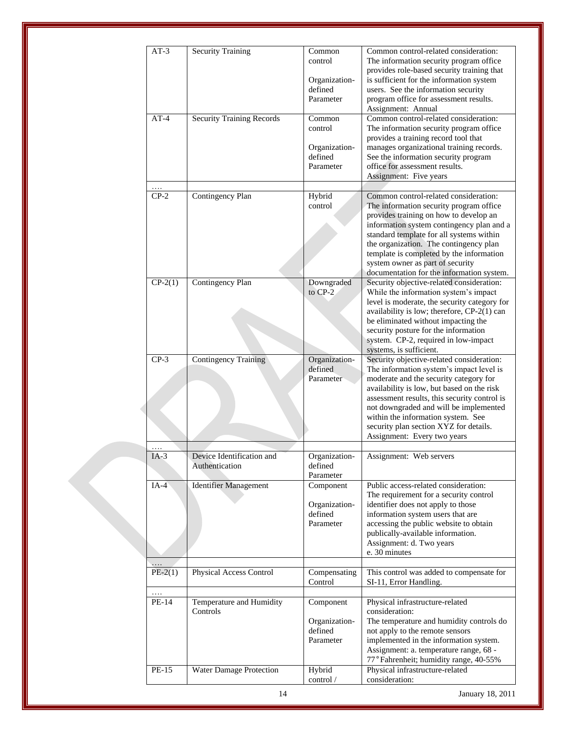| $AT-3$            | <b>Security Training</b>                    | Common<br>control                     | Common control-related consideration:<br>The information security program office<br>provides role-based security training that |
|-------------------|---------------------------------------------|---------------------------------------|--------------------------------------------------------------------------------------------------------------------------------|
|                   |                                             | Organization-<br>defined<br>Parameter | is sufficient for the information system<br>users. See the information security<br>program office for assessment results.      |
| $AT-4$            |                                             | Common                                | Assignment: Annual<br>Common control-related consideration:                                                                    |
|                   | <b>Security Training Records</b>            | control                               | The information security program office<br>provides a training record tool that                                                |
|                   |                                             | Organization-<br>defined              | manages organizational training records.<br>See the information security program                                               |
|                   |                                             | Parameter                             | office for assessment results.<br>Assignment: Five years                                                                       |
|                   |                                             |                                       |                                                                                                                                |
| .<br>$CP-2$       | Contingency Plan                            | Hybrid<br>control                     | Common control-related consideration:<br>The information security program office                                               |
|                   |                                             |                                       | provides training on how to develop an<br>information system contingency plan and a                                            |
|                   |                                             |                                       | standard template for all systems within<br>the organization. The contingency plan                                             |
|                   |                                             |                                       | template is completed by the information<br>system owner as part of security                                                   |
|                   |                                             |                                       | documentation for the information system.                                                                                      |
| $CP-2(1)$         | Contingency Plan                            | Downgraded<br>to CP-2                 | Security objective-related consideration:<br>While the information system's impact                                             |
|                   |                                             |                                       | level is moderate, the security category for<br>availability is low; therefore, CP-2(1) can                                    |
|                   |                                             |                                       | be eliminated without impacting the<br>security posture for the information                                                    |
|                   |                                             |                                       | system. CP-2, required in low-impact<br>systems, is sufficient.                                                                |
| $CP-3$            | <b>Contingency Training</b>                 | Organization-<br>defined              | Security objective-related consideration:<br>The information system's impact level is                                          |
|                   |                                             | Parameter                             | moderate and the security category for<br>availability is low, but based on the risk                                           |
|                   |                                             |                                       | assessment results, this security control is<br>not downgraded and will be implemented<br>within the information system. See   |
|                   |                                             |                                       | security plan section XYZ for details.<br>Assignment: Every two years                                                          |
|                   |                                             |                                       |                                                                                                                                |
| $IA-3$            | Device Identification and<br>Authentication | Organization-<br>defined<br>Parameter | Assignment: Web servers                                                                                                        |
| $IA-4$            | <b>Identifier Management</b>                | Component                             | Public access-related consideration:                                                                                           |
|                   |                                             | Organization-                         | The requirement for a security control<br>identifier does not apply to those                                                   |
|                   |                                             | defined<br>Parameter                  | information system users that are<br>accessing the public website to obtain                                                    |
|                   |                                             |                                       | publically-available information.<br>Assignment: d. Two years                                                                  |
|                   |                                             |                                       | e. 30 minutes                                                                                                                  |
| .<br>$PE-2(1)$    | Physical Access Control                     | Compensating<br>Control               | This control was added to compensate for<br>SI-11, Error Handling.                                                             |
| $\ldots$<br>PE-14 | Temperature and Humidity                    | Component                             | Physical infrastructure-related                                                                                                |
|                   | Controls                                    |                                       | consideration:                                                                                                                 |
|                   |                                             | Organization-<br>defined              | The temperature and humidity controls do<br>not apply to the remote sensors                                                    |
|                   |                                             | Parameter                             | implemented in the information system.<br>Assignment: a. temperature range, 68 -                                               |
|                   |                                             |                                       | 77° Fahrenheit; humidity range, 40-55%                                                                                         |
| PE-15             | Water Damage Protection                     | Hybrid<br>control /                   | Physical infrastructure-related<br>consideration:                                                                              |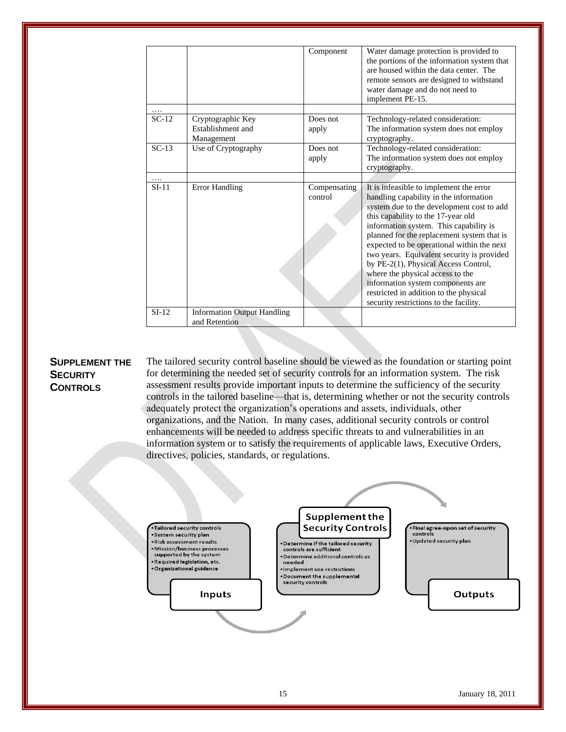|         |                                                      | Component               | Water damage protection is provided to<br>the portions of the information system that<br>are housed within the data center. The<br>remote sensors are designed to withstand<br>water damage and do not need to<br>implement PE-15.                                                                                                                                                                                                                                                                                                                            |
|---------|------------------------------------------------------|-------------------------|---------------------------------------------------------------------------------------------------------------------------------------------------------------------------------------------------------------------------------------------------------------------------------------------------------------------------------------------------------------------------------------------------------------------------------------------------------------------------------------------------------------------------------------------------------------|
|         |                                                      |                         |                                                                                                                                                                                                                                                                                                                                                                                                                                                                                                                                                               |
| $SC-12$ | Cryptographic Key<br>Establishment and<br>Management | Does not<br>apply       | Technology-related consideration:<br>The information system does not employ<br>cryptography.                                                                                                                                                                                                                                                                                                                                                                                                                                                                  |
| $SC-13$ | Use of Cryptography                                  | Does not<br>apply       | Technology-related consideration:<br>The information system does not employ<br>cryptography.                                                                                                                                                                                                                                                                                                                                                                                                                                                                  |
| .       |                                                      |                         |                                                                                                                                                                                                                                                                                                                                                                                                                                                                                                                                                               |
| $SI-11$ | <b>Error Handling</b>                                | Compensating<br>control | It is infeasible to implement the error<br>handling capability in the information<br>system due to the development cost to add<br>this capability to the 17-year old<br>information system. This capability is<br>planned for the replacement system that is<br>expected to be operational within the next<br>two years. Equivalent security is provided<br>by PE-2(1), Physical Access Control,<br>where the physical access to the<br>information system components are<br>restricted in addition to the physical<br>security restrictions to the facility. |
| $SI-12$ | <b>Information Output Handling</b><br>and Retention  |                         |                                                                                                                                                                                                                                                                                                                                                                                                                                                                                                                                                               |

# **SUPPLEMENT THE SECURITY CONTROLS**

The tailored security control baseline should be viewed as the foundation or starting point for determining the needed set of security controls for an information system. The risk assessment results provide important inputs to determine the sufficiency of the security controls in the tailored baseline—that is, determining whether or not the security controls adequately protect the organization's operations and assets, individuals, other organizations, and the Nation. In many cases, additional security controls or control enhancements will be needed to address specific threats to and vulnerabilities in an information system or to satisfy the requirements of applicable laws, Executive Orders, directives, policies, standards, or regulations.

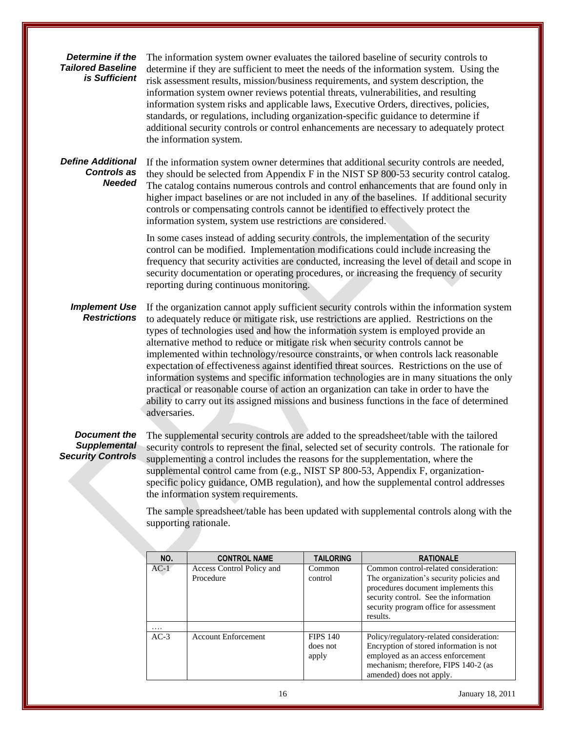# *Determine if the Tailored Baseline is Sufficient*

The information system owner evaluates the tailored baseline of security controls to determine if they are sufficient to meet the needs of the information system. Using the risk assessment results, mission/business requirements, and system description, the information system owner reviews potential threats, vulnerabilities, and resulting information system risks and applicable laws, Executive Orders, directives, policies, standards, or regulations, including organization-specific guidance to determine if additional security controls or control enhancements are necessary to adequately protect the information system.

# *Define Additional Controls as Needed*

If the information system owner determines that additional security controls are needed, they should be selected from Appendix F in the NIST SP 800-53 security control catalog. The catalog contains numerous controls and control enhancements that are found only in higher impact baselines or are not included in any of the baselines. If additional security controls or compensating controls cannot be identified to effectively protect the information system, system use restrictions are considered.

In some cases instead of adding security controls, the implementation of the security control can be modified. Implementation modifications could include increasing the frequency that security activities are conducted, increasing the level of detail and scope in security documentation or operating procedures, or increasing the frequency of security reporting during continuous monitoring.

# *Implement Use Restrictions*

If the organization cannot apply sufficient security controls within the information system to adequately reduce or mitigate risk, use restrictions are applied. Restrictions on the types of technologies used and how the information system is employed provide an alternative method to reduce or mitigate risk when security controls cannot be implemented within technology/resource constraints, or when controls lack reasonable expectation of effectiveness against identified threat sources. Restrictions on the use of information systems and specific information technologies are in many situations the only practical or reasonable course of action an organization can take in order to have the ability to carry out its assigned missions and business functions in the face of determined adversaries.

# *Document the Supplemental Security Controls*

The supplemental security controls are added to the spreadsheet/table with the tailored security controls to represent the final, selected set of security controls. The rationale for supplementing a control includes the reasons for the supplementation, where the supplemental control came from (e.g., NIST SP 800-53, Appendix F, organizationspecific policy guidance, OMB regulation), and how the supplemental control addresses the information system requirements.

The sample spreadsheet/table has been updated with supplemental controls along with the supporting rationale.

| NO.    | <b>CONTROL NAME</b>                    | <b>TAILORING</b>                     | <b>RATIONALE</b>                                                                                                                                                                                                        |
|--------|----------------------------------------|--------------------------------------|-------------------------------------------------------------------------------------------------------------------------------------------------------------------------------------------------------------------------|
| $AC-1$ | Access Control Policy and<br>Procedure | Common<br>control                    | Common control-related consideration:<br>The organization's security policies and<br>procedures document implements this<br>security control. See the information<br>security program office for assessment<br>results. |
| .      |                                        |                                      |                                                                                                                                                                                                                         |
| $AC-3$ | <b>Account Enforcement</b>             | <b>FIPS 140</b><br>does not<br>apply | Policy/regulatory-related consideration:<br>Encryption of stored information is not<br>employed as an access enforcement<br>mechanism; therefore, FIPS 140-2 (as<br>amended) does not apply.                            |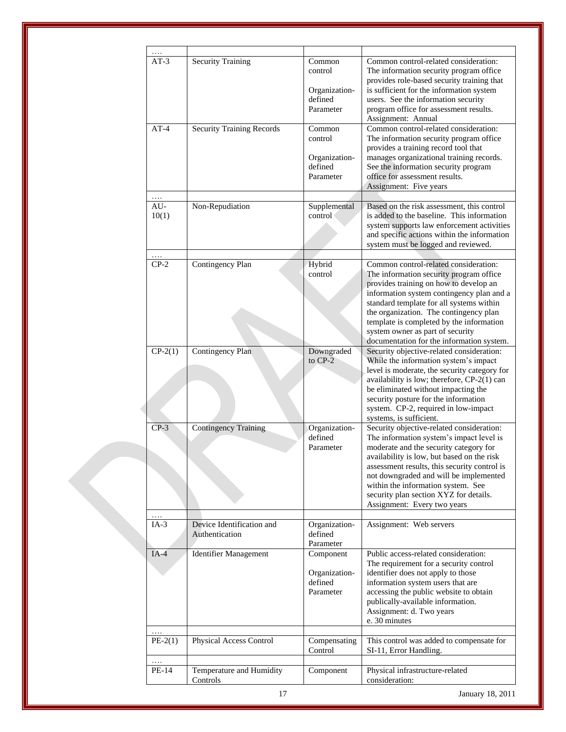| .              |                                             |                                       |                                                                                                                                                                                                                              |
|----------------|---------------------------------------------|---------------------------------------|------------------------------------------------------------------------------------------------------------------------------------------------------------------------------------------------------------------------------|
| $AT-3$         | <b>Security Training</b>                    | Common<br>control<br>Organization-    | Common control-related consideration:<br>The information security program office<br>provides role-based security training that<br>is sufficient for the information system                                                   |
|                |                                             | defined<br>Parameter                  | users. See the information security<br>program office for assessment results.<br>Assignment: Annual                                                                                                                          |
| $AT-4$         | <b>Security Training Records</b>            | Common<br>control                     | Common control-related consideration:<br>The information security program office<br>provides a training record tool that                                                                                                     |
|                |                                             | Organization-<br>defined<br>Parameter | manages organizational training records.<br>See the information security program<br>office for assessment results.<br>Assignment: Five years                                                                                 |
| .              |                                             |                                       |                                                                                                                                                                                                                              |
| $AU-$<br>10(1) | Non-Repudiation                             | Supplemental<br>control               | Based on the risk assessment, this control<br>is added to the baseline. This information<br>system supports law enforcement activities<br>and specific actions within the information<br>system must be logged and reviewed. |
| $CP-2$         |                                             |                                       | Common control-related consideration:                                                                                                                                                                                        |
|                | Contingency Plan                            | Hybrid<br>control                     | The information security program office                                                                                                                                                                                      |
|                |                                             |                                       | provides training on how to develop an                                                                                                                                                                                       |
|                |                                             |                                       | information system contingency plan and a                                                                                                                                                                                    |
|                |                                             |                                       | standard template for all systems within                                                                                                                                                                                     |
|                |                                             |                                       | the organization. The contingency plan                                                                                                                                                                                       |
|                |                                             |                                       | template is completed by the information<br>system owner as part of security                                                                                                                                                 |
|                |                                             |                                       | documentation for the information system.                                                                                                                                                                                    |
| $CP-2(1)$      | <b>Contingency Plan</b>                     | Downgraded                            | Security objective-related consideration:                                                                                                                                                                                    |
|                |                                             | to CP-2                               | While the information system's impact                                                                                                                                                                                        |
|                |                                             |                                       | level is moderate, the security category for                                                                                                                                                                                 |
|                |                                             |                                       | availability is low; therefore, CP-2(1) can                                                                                                                                                                                  |
|                |                                             |                                       | be eliminated without impacting the<br>security posture for the information                                                                                                                                                  |
|                |                                             |                                       | system. CP-2, required in low-impact                                                                                                                                                                                         |
|                |                                             |                                       | systems, is sufficient.                                                                                                                                                                                                      |
| $CP-3$         | <b>Contingency Training</b>                 | Organization-                         | Security objective-related consideration:                                                                                                                                                                                    |
|                |                                             | defined                               | The information system's impact level is                                                                                                                                                                                     |
|                |                                             | Parameter                             | moderate and the security category for                                                                                                                                                                                       |
|                |                                             |                                       | availability is low, but based on the risk<br>assessment results, this security control is                                                                                                                                   |
|                |                                             |                                       | not downgraded and will be implemented                                                                                                                                                                                       |
|                |                                             |                                       | within the information system. See                                                                                                                                                                                           |
|                |                                             |                                       | security plan section XYZ for details.                                                                                                                                                                                       |
|                |                                             |                                       | Assignment: Every two years                                                                                                                                                                                                  |
| $IA-3$         | Device Identification and<br>Authentication | Organization-<br>defined              | Assignment: Web servers                                                                                                                                                                                                      |
|                |                                             | Parameter                             |                                                                                                                                                                                                                              |
| $IA-4$         | <b>Identifier Management</b>                | Component                             | Public access-related consideration:                                                                                                                                                                                         |
|                |                                             |                                       | The requirement for a security control                                                                                                                                                                                       |
|                |                                             | Organization-<br>defined              | identifier does not apply to those<br>information system users that are                                                                                                                                                      |
|                |                                             | Parameter                             | accessing the public website to obtain                                                                                                                                                                                       |
|                |                                             |                                       | publically-available information.                                                                                                                                                                                            |
|                |                                             |                                       | Assignment: d. Two years                                                                                                                                                                                                     |
|                |                                             |                                       | e. 30 minutes                                                                                                                                                                                                                |
| .<br>$PE-2(1)$ | Physical Access Control                     | Compensating                          | This control was added to compensate for                                                                                                                                                                                     |
|                |                                             | Control                               | SI-11, Error Handling.                                                                                                                                                                                                       |
| .              |                                             |                                       |                                                                                                                                                                                                                              |
| PE-14          | Temperature and Humidity                    | Component                             | Physical infrastructure-related                                                                                                                                                                                              |
|                | Controls                                    |                                       | consideration:                                                                                                                                                                                                               |
|                | 17                                          |                                       | January 18, 2011                                                                                                                                                                                                             |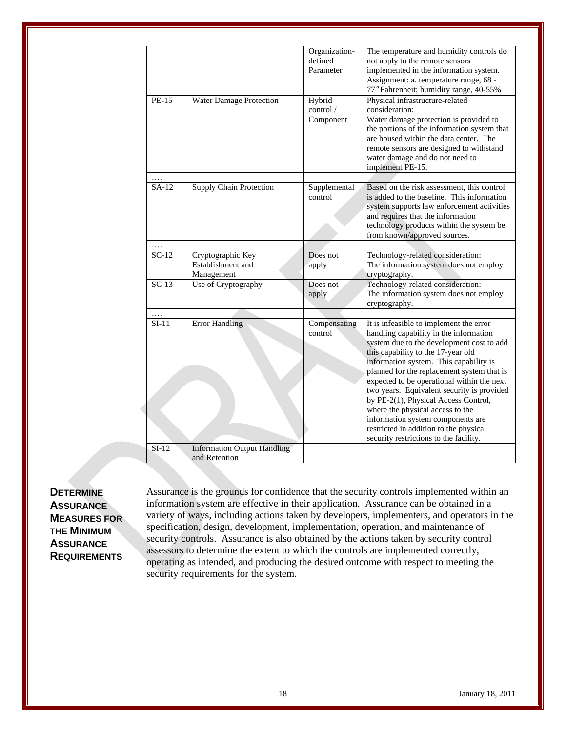|         |                                                      | Organization-<br>defined<br>Parameter | The temperature and humidity controls do<br>not apply to the remote sensors<br>implemented in the information system.<br>Assignment: a. temperature range, 68 -<br>77° Fahrenheit; humidity range, 40-55%                                                                                                                                                                                                                                                                                                                                                     |
|---------|------------------------------------------------------|---------------------------------------|---------------------------------------------------------------------------------------------------------------------------------------------------------------------------------------------------------------------------------------------------------------------------------------------------------------------------------------------------------------------------------------------------------------------------------------------------------------------------------------------------------------------------------------------------------------|
| PE-15   | Water Damage Protection                              | Hybrid<br>control /<br>Component      | Physical infrastructure-related<br>consideration:<br>Water damage protection is provided to<br>the portions of the information system that<br>are housed within the data center. The<br>remote sensors are designed to withstand<br>water damage and do not need to<br>implement PE-15.                                                                                                                                                                                                                                                                       |
|         |                                                      |                                       |                                                                                                                                                                                                                                                                                                                                                                                                                                                                                                                                                               |
| SA-12   | <b>Supply Chain Protection</b>                       | Supplemental<br>control               | Based on the risk assessment, this control<br>is added to the baseline. This information<br>system supports law enforcement activities<br>and requires that the information<br>technology products within the system be<br>from known/approved sources.                                                                                                                                                                                                                                                                                                       |
| .       |                                                      |                                       |                                                                                                                                                                                                                                                                                                                                                                                                                                                                                                                                                               |
| $SC-12$ | Cryptographic Key<br>Establishment and<br>Management | Does not<br>apply                     | Technology-related consideration:<br>The information system does not employ<br>cryptography.                                                                                                                                                                                                                                                                                                                                                                                                                                                                  |
| $SC-13$ | Use of Cryptography                                  | Does not<br>apply                     | Technology-related consideration:<br>The information system does not employ<br>cryptography.                                                                                                                                                                                                                                                                                                                                                                                                                                                                  |
| .       |                                                      |                                       |                                                                                                                                                                                                                                                                                                                                                                                                                                                                                                                                                               |
| $SI-11$ | <b>Error Handling</b>                                | Compensating<br>control               | It is infeasible to implement the error<br>handling capability in the information<br>system due to the development cost to add<br>this capability to the 17-year old<br>information system. This capability is<br>planned for the replacement system that is<br>expected to be operational within the next<br>two years. Equivalent security is provided<br>by PE-2(1), Physical Access Control,<br>where the physical access to the<br>information system components are<br>restricted in addition to the physical<br>security restrictions to the facility. |
| $SI-12$ | <b>Information Output Handling</b><br>and Retention  |                                       |                                                                                                                                                                                                                                                                                                                                                                                                                                                                                                                                                               |

# **DETERMINE ASSURANCE MEASURES FOR THE MINIMUM ASSURANCE REQUIREMENTS**

Assurance is the grounds for confidence that the security controls implemented within an information system are effective in their application. Assurance can be obtained in a variety of ways, including actions taken by developers, implementers, and operators in the specification, design, development, implementation, operation, and maintenance of security controls. Assurance is also obtained by the actions taken by security control assessors to determine the extent to which the controls are implemented correctly, operating as intended, and producing the desired outcome with respect to meeting the security requirements for the system.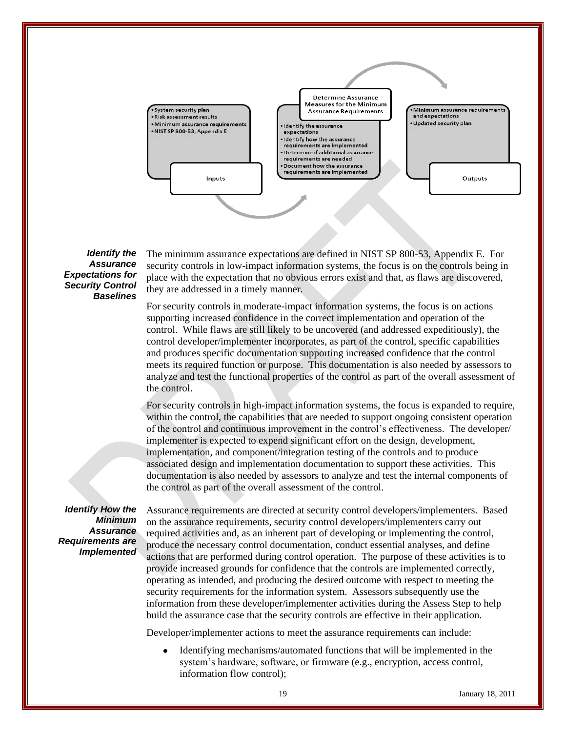

#### *Identify the Assurance Expectations for Security Control Baselines*

The minimum assurance expectations are defined in NIST SP 800-53, Appendix E. For security controls in low-impact information systems, the focus is on the controls being in place with the expectation that no obvious errors exist and that, as flaws are discovered, they are addressed in a timely manner.

For security controls in moderate-impact information systems, the focus is on actions supporting increased confidence in the correct implementation and operation of the control. While flaws are still likely to be uncovered (and addressed expeditiously), the control developer/implementer incorporates, as part of the control, specific capabilities and produces specific documentation supporting increased confidence that the control meets its required function or purpose. This documentation is also needed by assessors to analyze and test the functional properties of the control as part of the overall assessment of the control.

For security controls in high-impact information systems, the focus is expanded to require, within the control, the capabilities that are needed to support ongoing consistent operation of the control and continuous improvement in the control's effectiveness. The developer/ implementer is expected to expend significant effort on the design, development, implementation, and component/integration testing of the controls and to produce associated design and implementation documentation to support these activities. This documentation is also needed by assessors to analyze and test the internal components of the control as part of the overall assessment of the control.

#### *Identify How the Minimum Assurance Requirements are Implemented*

Assurance requirements are directed at security control developers/implementers. Based on the assurance requirements, security control developers/implementers carry out required activities and, as an inherent part of developing or implementing the control, produce the necessary control documentation, conduct essential analyses, and define actions that are performed during control operation. The purpose of these activities is to provide increased grounds for confidence that the controls are implemented correctly, operating as intended, and producing the desired outcome with respect to meeting the security requirements for the information system. Assessors subsequently use the information from these developer/implementer activities during the Assess Step to help build the assurance case that the security controls are effective in their application.

Developer/implementer actions to meet the assurance requirements can include:

Identifying mechanisms/automated functions that will be implemented in the system's hardware, software, or firmware (e.g., encryption, access control, information flow control);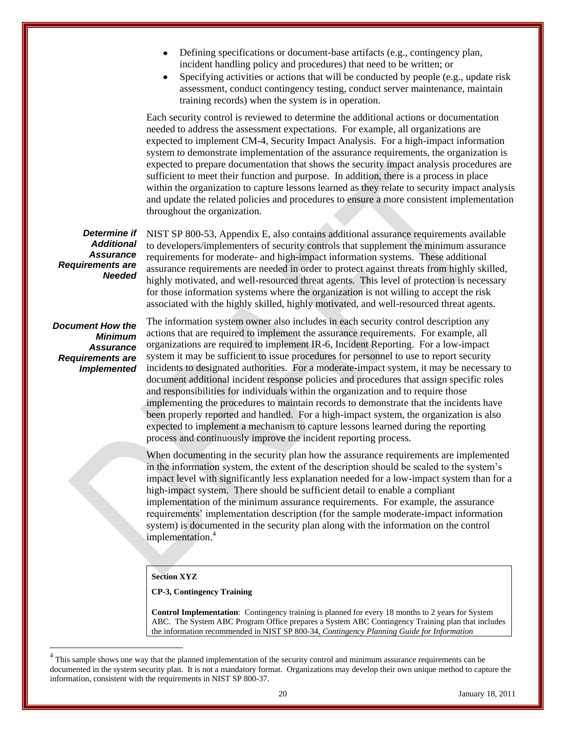- $\bullet$ Defining specifications or document-base artifacts (e.g., contingency plan, incident handling policy and procedures) that need to be written; or
- Specifying activities or actions that will be conducted by people (e.g., update risk assessment, conduct contingency testing, conduct server maintenance, maintain training records) when the system is in operation.

Each security control is reviewed to determine the additional actions or documentation needed to address the assessment expectations. For example, all organizations are expected to implement CM-4, Security Impact Analysis. For a high-impact information system to demonstrate implementation of the assurance requirements, the organization is expected to prepare documentation that shows the security impact analysis procedures are sufficient to meet their function and purpose. In addition, there is a process in place within the organization to capture lessons learned as they relate to security impact analysis and update the related policies and procedures to ensure a more consistent implementation throughout the organization.

*Determine if Additional Assurance Requirements are Needed* NIST SP 800-53, Appendix E, also contains additional assurance requirements available to developers/implementers of security controls that supplement the minimum assurance requirements for moderate- and high-impact information systems. These additional assurance requirements are needed in order to protect against threats from highly skilled, highly motivated, and well-resourced threat agents. This level of protection is necessary for those information systems where the organization is not willing to accept the risk associated with the highly skilled, highly motivated, and well-resourced threat agents.

*Document How the Minimum Assurance Requirements are Implemented*

 $\overline{a}$ 

The information system owner also includes in each security control description any actions that are required to implement the assurance requirements. For example, all organizations are required to implement IR-6, Incident Reporting. For a low-impact system it may be sufficient to issue procedures for personnel to use to report security incidents to designated authorities. For a moderate-impact system, it may be necessary to document additional incident response policies and procedures that assign specific roles and responsibilities for individuals within the organization and to require those implementing the procedures to maintain records to demonstrate that the incidents have been properly reported and handled. For a high-impact system, the organization is also expected to implement a mechanism to capture lessons learned during the reporting process and continuously improve the incident reporting process.

When documenting in the security plan how the assurance requirements are implemented in the information system, the extent of the description should be scaled to the system's impact level with significantly less explanation needed for a low-impact system than for a high-impact system. There should be sufficient detail to enable a compliant implementation of the minimum assurance requirements. For example, the assurance requirements' implementation description (for the sample moderate-impact information system) is documented in the security plan along with the information on the control implementation. 4

#### **Section XYZ**

#### **CP-3, Contingency Training**

**Control Implementation**: Contingency training is planned for every 18 months to 2 years for System ABC. The System ABC Program Office prepares a System ABC Contingency Training plan that includes the information recommended in NIST SP 800-34, *Contingency Planning Guide for Information* 

<sup>4</sup> This sample shows one way that the planned implementation of the security control and minimum assurance requirements can be documented in the system security plan. It is not a mandatory format. Organizations may develop their own unique method to capture the information, consistent with the requirements in NIST SP 800-37.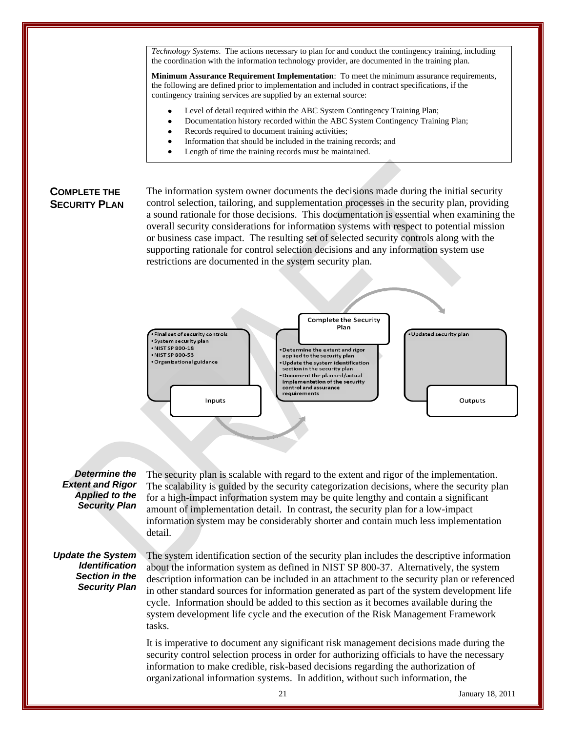*Technology Systems*. The actions necessary to plan for and conduct the contingency training, including the coordination with the information technology provider, are documented in the training plan.

**Minimum Assurance Requirement Implementation**: To meet the minimum assurance requirements, the following are defined prior to implementation and included in contract specifications, if the contingency training services are supplied by an external source:

- Level of detail required within the ABC System Contingency Training Plan;
- Documentation history recorded within the ABC System Contingency Training Plan;
- Records required to document training activities;
- Information that should be included in the training records; and
- Length of time the training records must be maintained.

# **COMPLETE THE SECURITY PLAN**

The information system owner documents the decisions made during the initial security control selection, tailoring, and supplementation processes in the security plan, providing a sound rationale for those decisions. This documentation is essential when examining the overall security considerations for information systems with respect to potential mission or business case impact. The resulting set of selected security controls along with the supporting rationale for control selection decisions and any information system use restrictions are documented in the system security plan.



#### *Determine the Extent and Rigor Applied to the Security Plan*

The security plan is scalable with regard to the extent and rigor of the implementation. The scalability is guided by the security categorization decisions, where the security plan for a high-impact information system may be quite lengthy and contain a significant amount of implementation detail. In contrast, the security plan for a low-impact information system may be considerably shorter and contain much less implementation detail.

#### *Update the System Identification Section in the Security Plan*

The system identification section of the security plan includes the descriptive information about the information system as defined in NIST SP 800-37. Alternatively, the system description information can be included in an attachment to the security plan or referenced in other standard sources for information generated as part of the system development life cycle. Information should be added to this section as it becomes available during the system development life cycle and the execution of the Risk Management Framework tasks.

It is imperative to document any significant risk management decisions made during the security control selection process in order for authorizing officials to have the necessary information to make credible, risk-based decisions regarding the authorization of organizational information systems. In addition, without such information, the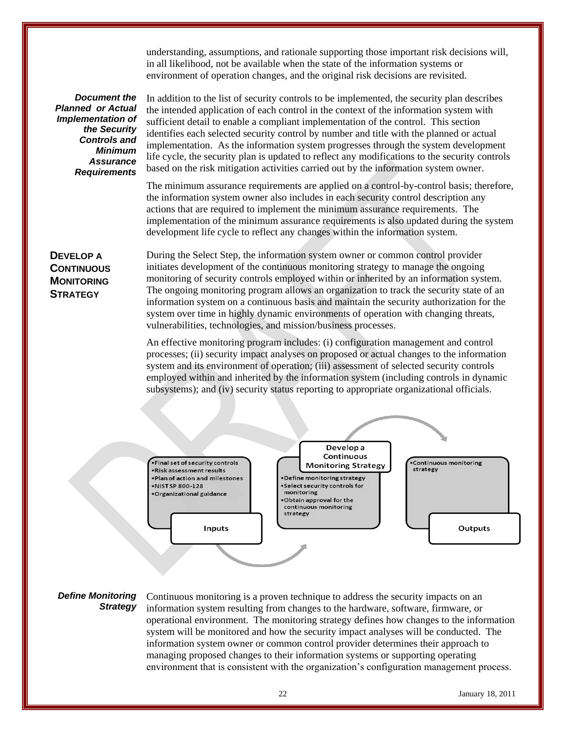understanding, assumptions, and rationale supporting those important risk decisions will, in all likelihood, not be available when the state of the information systems or environment of operation changes, and the original risk decisions are revisited.

*Document the Planned or Actual Implementation of the Security Controls and Minimum Assurance Requirements*

In addition to the list of security controls to be implemented, the security plan describes the intended application of each control in the context of the information system with sufficient detail to enable a compliant implementation of the control. This section identifies each selected security control by number and title with the planned or actual implementation. As the information system progresses through the system development life cycle, the security plan is updated to reflect any modifications to the security controls based on the risk mitigation activities carried out by the information system owner.

The minimum assurance requirements are applied on a control-by-control basis; therefore, the information system owner also includes in each security control description any actions that are required to implement the minimum assurance requirements. The implementation of the minimum assurance requirements is also updated during the system development life cycle to reflect any changes within the information system.

# **DEVELOP A CONTINUOUS MONITORING STRATEGY**

During the Select Step, the information system owner or common control provider initiates development of the continuous monitoring strategy to manage the ongoing monitoring of security controls employed within or inherited by an information system. The ongoing monitoring program allows an organization to track the security state of an information system on a continuous basis and maintain the security authorization for the system over time in highly dynamic environments of operation with changing threats, vulnerabilities, technologies, and mission/business processes.

An effective monitoring program includes: (i) configuration management and control processes; (ii) security impact analyses on proposed or actual changes to the information system and its environment of operation; (iii) assessment of selected security controls employed within and inherited by the information system (including controls in dynamic subsystems); and (iv) security status reporting to appropriate organizational officials.



# *Define Monitoring Strategy*

Continuous monitoring is a proven technique to address the security impacts on an information system resulting from changes to the hardware, software, firmware, or operational environment. The monitoring strategy defines how changes to the information system will be monitored and how the security impact analyses will be conducted. The information system owner or common control provider determines their approach to managing proposed changes to their information systems or supporting operating environment that is consistent with the organization's configuration management process.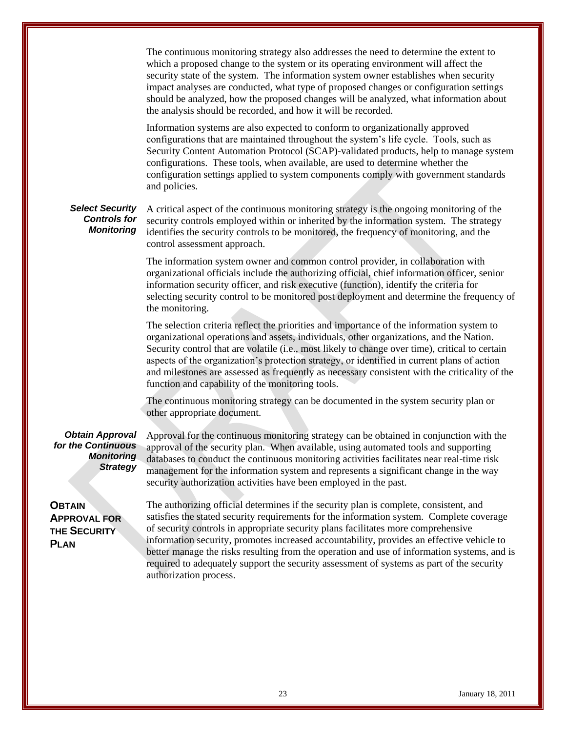|                                                                                      | The continuous monitoring strategy also addresses the need to determine the extent to<br>which a proposed change to the system or its operating environment will affect the<br>security state of the system. The information system owner establishes when security<br>impact analyses are conducted, what type of proposed changes or configuration settings<br>should be analyzed, how the proposed changes will be analyzed, what information about<br>the analysis should be recorded, and how it will be recorded.<br>Information systems are also expected to conform to organizationally approved<br>configurations that are maintained throughout the system's life cycle. Tools, such as |
|--------------------------------------------------------------------------------------|---------------------------------------------------------------------------------------------------------------------------------------------------------------------------------------------------------------------------------------------------------------------------------------------------------------------------------------------------------------------------------------------------------------------------------------------------------------------------------------------------------------------------------------------------------------------------------------------------------------------------------------------------------------------------------------------------|
|                                                                                      | Security Content Automation Protocol (SCAP)-validated products, help to manage system<br>configurations. These tools, when available, are used to determine whether the<br>configuration settings applied to system components comply with government standards<br>and policies.                                                                                                                                                                                                                                                                                                                                                                                                                  |
| <b>Select Security</b><br><b>Controls for</b><br><b>Monitoring</b>                   | A critical aspect of the continuous monitoring strategy is the ongoing monitoring of the<br>security controls employed within or inherited by the information system. The strategy<br>identifies the security controls to be monitored, the frequency of monitoring, and the<br>control assessment approach.                                                                                                                                                                                                                                                                                                                                                                                      |
|                                                                                      | The information system owner and common control provider, in collaboration with<br>organizational officials include the authorizing official, chief information officer, senior<br>information security officer, and risk executive (function), identify the criteria for<br>selecting security control to be monitored post deployment and determine the frequency of<br>the monitoring.                                                                                                                                                                                                                                                                                                         |
|                                                                                      | The selection criteria reflect the priorities and importance of the information system to<br>organizational operations and assets, individuals, other organizations, and the Nation.<br>Security control that are volatile (i.e., most likely to change over time), critical to certain<br>aspects of the organization's protection strategy, or identified in current plans of action<br>and milestones are assessed as frequently as necessary consistent with the criticality of the<br>function and capability of the monitoring tools.                                                                                                                                                       |
|                                                                                      | The continuous monitoring strategy can be documented in the system security plan or<br>other appropriate document.                                                                                                                                                                                                                                                                                                                                                                                                                                                                                                                                                                                |
| <b>Obtain Approval</b><br>for the Continuous<br><b>Monitoring</b><br><b>Strategy</b> | Approval for the continuous monitoring strategy can be obtained in conjunction with the<br>approval of the security plan. When available, using automated tools and supporting<br>databases to conduct the continuous monitoring activities facilitates near real-time risk<br>management for the information system and represents a significant change in the way<br>security authorization activities have been employed in the past.                                                                                                                                                                                                                                                          |
| <b>OBTAIN</b><br><b>APPROVAL FOR</b><br>THE SECURITY<br><b>PLAN</b>                  | The authorizing official determines if the security plan is complete, consistent, and<br>satisfies the stated security requirements for the information system. Complete coverage<br>of security controls in appropriate security plans facilitates more comprehensive<br>information security, promotes increased accountability, provides an effective vehicle to<br>better manage the risks resulting from the operation and use of information systems, and is<br>required to adequately support the security assessment of systems as part of the security<br>authorization process.                                                                                                         |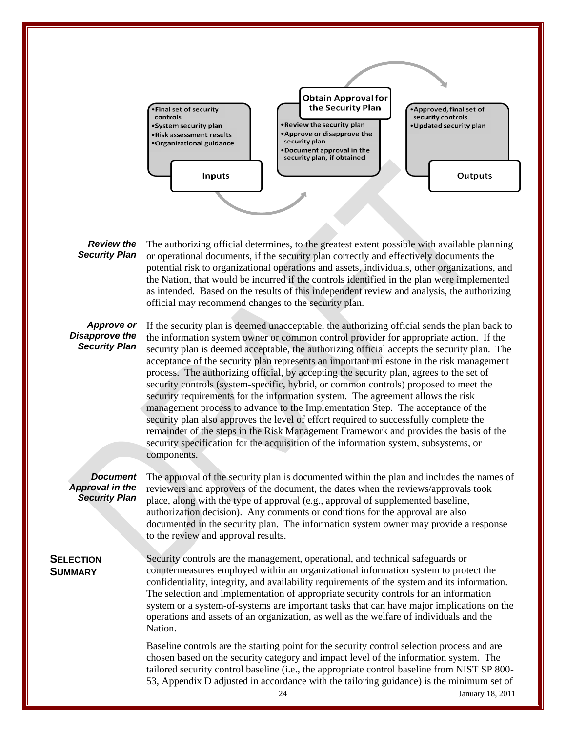

#### *Review the Security Plan*

The authorizing official determines, to the greatest extent possible with available planning or operational documents, if the security plan correctly and effectively documents the potential risk to organizational operations and assets, individuals, other organizations, and the Nation, that would be incurred if the controls identified in the plan were implemented as intended. Based on the results of this independent review and analysis, the authorizing official may recommend changes to the security plan.

#### *Approve or Disapprove the Security Plan*

If the security plan is deemed unacceptable, the authorizing official sends the plan back to the information system owner or common control provider for appropriate action. If the security plan is deemed acceptable, the authorizing official accepts the security plan. The acceptance of the security plan represents an important milestone in the risk management process. The authorizing official, by accepting the security plan, agrees to the set of security controls (system-specific, hybrid, or common controls) proposed to meet the security requirements for the information system. The agreement allows the risk management process to advance to the Implementation Step. The acceptance of the security plan also approves the level of effort required to successfully complete the remainder of the steps in the Risk Management Framework and provides the basis of the security specification for the acquisition of the information system, subsystems, or components.

#### *Document Approval in the Security Plan*

The approval of the security plan is documented within the plan and includes the names of reviewers and approvers of the document, the dates when the reviews/approvals took place, along with the type of approval (e.g., approval of supplemented baseline, authorization decision). Any comments or conditions for the approval are also documented in the security plan. The information system owner may provide a response to the review and approval results.

# **SELECTION SUMMARY**

Security controls are the management, operational, and technical safeguards or countermeasures employed within an organizational information system to protect the confidentiality, integrity, and availability requirements of the system and its information. The selection and implementation of appropriate security controls for an information system or a system-of-systems are important tasks that can have major implications on the operations and assets of an organization, as well as the welfare of individuals and the Nation.

Baseline controls are the starting point for the security control selection process and are chosen based on the security category and impact level of the information system. The tailored security control baseline (i.e., the appropriate control baseline from NIST SP 800- 53, Appendix D adjusted in accordance with the tailoring guidance) is the minimum set of

24 January 18, 2011